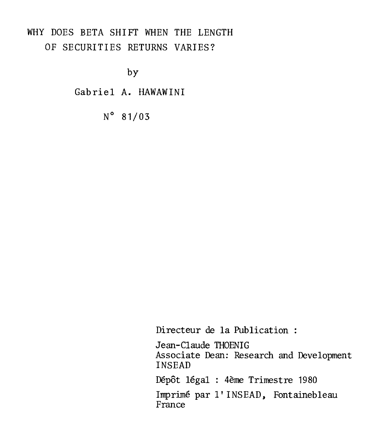## WHY DOES BETA SHIFT WHEN THE LENGTH OF SECURITIES RETURNS VARIES?

by

Gabriel A. HAWAWINI

N°81/03

Directeur de la Publication :

Jean-Claude THOENIG Associate Dean: Research and Development INSEAD

Dépôt légal : 4ème Trimestre 1980

Imprimé par l' INSEAD, Fontainebleau France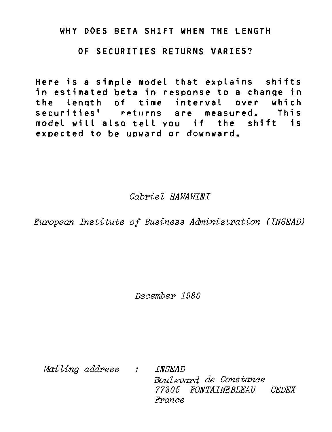#### **WHY DOES BETA SHIFT WHEN THE LENGTH**

**OF SECURITIES RETURNS VARIES?** 

**Here is a simple model that explains shifts in estimated beta in response to a change in the length of time interval over which securities' rpturns are measured. This modet will also tell vou if the shift is expected to be uoward or downward.** 

Gabriel HAWAWINI

European Institute of Business AdMinistration (INSEAD)

December 1980

Mailing address : INSEAD Boulevard de Constance 77305 FONTAINEBLEAU CEDEX France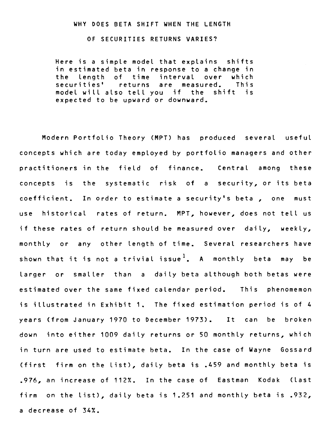#### WHY DOES BETA SHIFT WHEN THE LENGTH

#### OF SECURITIES RETURNS VARIES?

Here is a simple model that explains shifts in estimated beta in response to a change in the length of time interval over which<br>securities' returns are measured. This securities' returns model will also tell you if the shift is expected to be upward or downward.

Modern Portfolio Theory (MPT) has produced several useful concepts which are today employed by portfolio managers and other practitioners in the field of finance. Central among these concepts is the systematic risk of a security, or its beta coefficient. In order to estimate a security's beta , one must use historical rates of return. MPT, however, does not tell us if these rates of return should be measured over daily, weekly, monthly or any other length of time. Several researchers have shown that it is not a trivial issue<sup>1</sup>. A monthly beta may be larger or smaller than a daily beta although both betas were estimated over the same fixed calendar period. This phenomemon is illustrated in Exhibit 1. The fixed estimation period is of 4 years (from January 1970 to December 1973). It can be broken down into either 1009 daily returns or 50 monthly returns, which in turn are used to estimate beta. In the case of Wayne Gossard (first firm on the List), daily beta is .459 and monthly beta is .976, an increase of 112%. In the case of Eastman Kodak (Last firm on the list), daily beta is 1.251 and monthly beta is .932, a decrease of 34%.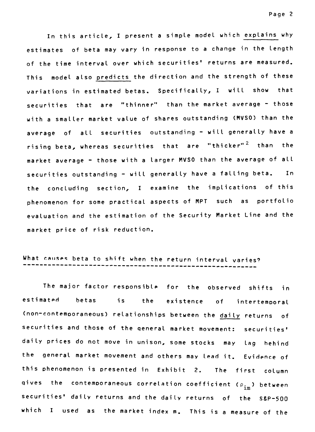In this article, I present a simple model which explains why estimates of beta may vary in response to a change in the length of the time interval over which securities' returns are measured. This model also predicts the direction and the strength of these variations in estimated betas. Specifically, I will show that securities that are "thinner" than the market average - those with a smaller market value of shares outstanding (MVSO) than the average of all securities outstanding - will generally have a rising beta, whereas securities that are "thicker"<sup>2</sup> than the market average - those with a larger MVSO than the average of all securities outstanding - will generally have a falling beta. In the concluding section, I examine the implications of this phenomenon for some practical aspects of MPT such as portfolio evaluation and the estimation of the Security Market Line and the market price of risk reduction.

# What causes beta to shift when the return interval varies?

The major factor resoonsible for the observed shifts in estimated betas is the existence of intertemporal (non-contemooraneous) relationships between the daily returns of securities and those of the general market movement: securities' daily prices do not move in unison, some stocks may lag hehind the general market movement and others may lead it. Evidence of this phenomenon is oresented in Exhibit 2. The first column gives the contemporaneous correlation coefficient ( $\rho_{\texttt{im}}$ ) between securities' daily returns and the daily returns of the S&P-500 which I used as the market index m. This is a measure of the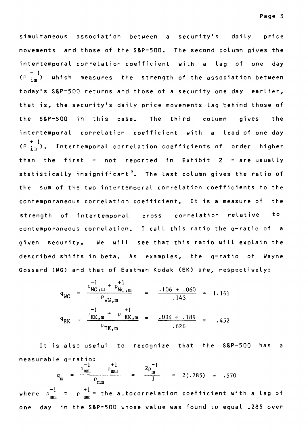simultaneous association between a security's daily price movements and those of the S&P-500. The second column gives the intertemporal correlation coefficient with a lag of one day (P  $\frac{-1}{\text{im}}$ ) which measures the strength of the association between today's S&P-500 returns and those of a security one day earlier, that is, the security's daily price movements lag behind those of the S&P-500 in this case. The third column gives the intertemporal correlation coefficient with a lead of one day + 1 intertemporal correlation coefficient with a lead-of-one-day<br>(<sup>p i</sup>m ). Intertemporal-correlation-coefficients-of-order higher than the first  $-$  not reported in Exhibit  $2 -$  are usually statistically insignificant<sup>3</sup>. The last column gives the ratio of the sum of the two intertemporal correlation coefficients to the contemporaneous correlation coefficient. It is a measure of the strength of intertemporal cross correlation relative to contemporaneous correlation. I cail this ratio the q-ratio of a given security. We will see that this ratio will explain the described shifts in beta. As examples, the q-ratio of Wayne Gossard (WG) and that of Eastman Kodak (EK) are, respectively:

$$
q_{\text{WG}} = \frac{\rho_{\text{WG,m}}^{-1} + \rho_{\text{WG,m}}^{+1}}{\rho_{\text{WG,m}}} = \frac{.106 + .060}{.143} = 1.161
$$
  

$$
q_{\text{EK}} = \frac{\rho_{\text{EK,m}}^{-1} + \rho_{\text{EK,m}}^{+1}}{\rho_{\text{EK,m}}} = \frac{.094 + .189}{.626} = .452
$$

It is also useful to recognize that the S&P-500 has a measurable q-ratio:  $-1$   $+1$   $2p^{-1}$ 

$$
q_{m} = \frac{\rho_{m} \dot{m}}{\rho_{m} \rho_{m}}
$$
 =  $\frac{2 \rho_{m}}{1}$  = 2(.285) = .570

where  $\rho_{\text{mm}}^{-1}$  =  $\rho_{\text{mm}}^{+1}$  = the autocorrelation coefficient with a lag of one day in the S&P-500 whose value was found to equal .285 over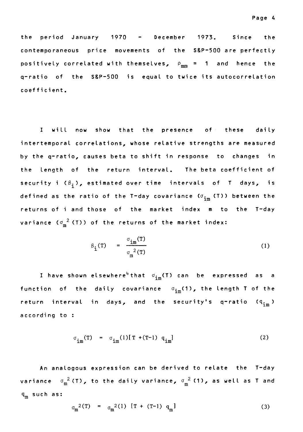the period January 1970 - December 1973. Since the contemporaneous price movements of the S&P-500 are perfectly positively correlated with themselves,  $\rho_{mm} = 1$  and hence the q-ratio of the S&P-500 is equal to twice its autocorrefation coefficient.

I will now show that the presence of these daily intertemporal correlations, whose relative strengths are measured by the q-ratio, causes beta to shift in response to changes in the length of the return interval. The beta coefficient of security i  $(\beta_i)$ , estimated over time intervals of T days, is defined as the ratio of the T-day covariance  $(\sigma_{\text{im}}$  (T)) between the returns of i and those of the market index m to the T-day variance ( $\sigma_{\rm m}^{-2}$  (T)) of the returns of the market index:

$$
\beta_{i}(T) = \frac{\sigma_{i m}(T)}{\sigma_{m}^{2}(T)}
$$
 (1)

I have shown elsewhere<sup>4</sup> that  $\sigma_{\text{im}}(T)$  can be expressed as a function of the daily covariance  $\sigma_{\text{im}}(1)$ , the length T of the return interval in days, and the security's q-ratio  $(q_{\text{im}})$ according to :

$$
\sigma_{\text{im}}(T) = \sigma_{\text{im}}(1)[T + (T-1) q_{\text{im}}]
$$
 (2)

An analogous expression can be derived to relate the T-day variance  $\sigma_m^2$ (T), to the daily variance,  $\sigma_m^2$ (1), as well as T and  $\boldsymbol{q}_{_{\mathbf{m}}}$  such as:

$$
\sigma_{m}^{2}(T) = \sigma_{m}^{2}(1) [T + (T-1) q_{m}] \qquad (3)
$$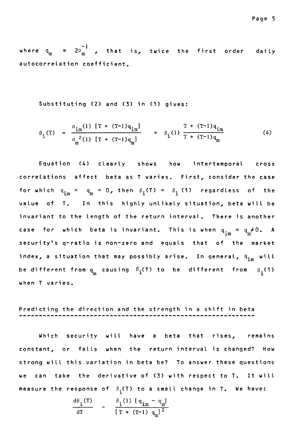where  $q_m = 2\varrho_m^{-1}$  , that is, twice the first order daily autocorrelation coefficient.

Substituting (2) and (3) in (1) gives:

$$
\beta_{\text{i}}(T) = \frac{\sigma_{\text{im}}(1) [T + (T-1)q_{\text{im}}]}{\sigma_{\text{m}}^{2}(1) [T + (T-1)q_{\text{m}}]} = \beta_{\text{i}}(1) \frac{T + (T-1)q_{\text{im}}}{T + (T-1)q_{\text{m}}}
$$
(4)

Equation (4) clearly shows how intertemporal cross correlations affect beta as T varies. First, consider the case for which  $q_{im} = q_m = 0$ , then  $\beta_i(T) = \beta_i(1)$  regardless of the value of T. In this highly unlikely situation, beta will be invariant to the length of the return interval. There is another case for which beta is invariant. This is when  $\mathbf{q}_{\mathtt{im}} = \mathbf{q}_{\mathtt{m}} \mathtt{\neq 0.}$  A security's q-ratio is non-zero and equals that of the market index, a situation that may possibly arise. In general,  $\boldsymbol{q}_{\texttt{im}}$  will be different from  $q_{m}$  causing  $\beta_{i}$ (T) to be different from  $\beta_{i}$ (1) when T varies.

## Predicting the direction and the strength in a shift in beta

Which security will have a beta that rises, remains constant, or falls when the return interval is changed? How strong will this variation in beta be? To answer these questions we can take the derivative of (3) with respect to T. It will measure the response of  $\beta_1(T)$  to a small change in T. We have:

$$
\frac{d\beta_{i}(T)}{dT} = \frac{\beta_{i}(1) [q_{im} - q_{m}]}{[T + (T-1) q_{m}]^{2}}
$$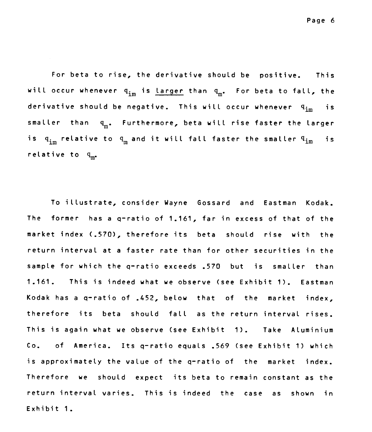**For beta to rise, the derivative should be positive. This will occur whenever qimis larger than qm. For beta to fall, the derivative should be negative. This will occur whenever qim is**  smaller than q<sub>m</sub>. Furthermore, beta will rise faster the larger is  $q_{im}$  relative to  $q_{m}$  and it will fall faster the smaller  $q_{im}$  is **relative to gm.** 

**To illustrate, consider Wayne Gossard and Eastman Kodak. The former has a q-ratio of 1.161, far in excess of that of the market index (.570), therefore its beta should rise with the return interval at a faster rate than for other securities in the sample for which the q-ratio exceeds .570 but is smaller than 1.161. This is indeed what we observe (see Exhibit 1). Eastman Kodak has a q-ratio of .452, below that of the market index, therefore its beta should fall as the return interval rises. This is again what we observe (see Exhibit 1). Take Aluminium Co. of America. Its q-ratio equals .569 (see Exhibit 1) which is approximately the value of the q-ratio of the market index. Therefore we should expect its beta to remain constant as the return interval varies. This is indeed the case as shown in Exhibit 1.**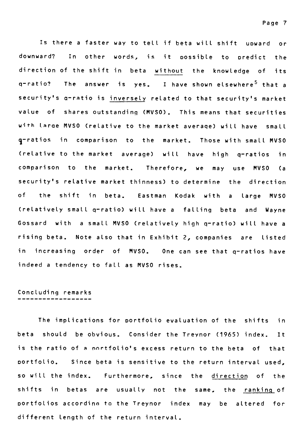Is there a faster way to tell if beta will shift uoward or downward? In other words, is it possible to oredict the direction of the shift in beta without the knowledge of its q-ratio? The answer is yes. I have shown elsewhere<sup>5</sup> that a security's a—ratio is inversely related to that security's market value of shares outstandinq (MVSO). This means that securities **with Irae** MVSO (relative to the market average) will have small 1—ratios in comparison to the market. Those with small MVSO (relative to the market average) will have high q—ratios in comparison to the market. Therefore, we may use MVSO (a security's relative market thinness) to determine the direction of the shift in beta. Eastman Kodak with a large MVSO (relatively small q—ratio) will have a falling beta and Wayne Gossard with a small MVSO (relatively high q—ratio) will have a rising beta. Note also that in Exhibit 2, companies are listed in increasing order of MVSO. One can see that q—ratios have indeed a tendency to fall as MVSO rises.

## Concluding remarks

The implications for portfolio evaluation of the shifts in beta should be obvious. Consider the Treynor (1965) index. It is the ratio of a nnrtfolio's excess return to the beta of that portfolio. Since beta is sensitive to the return interval used, so will the index. Furthermore, since the direction of the shifts in betas are usually not the same, the ranking of Portfolios accordino to the Treynor index may be altered for different length of the return interval.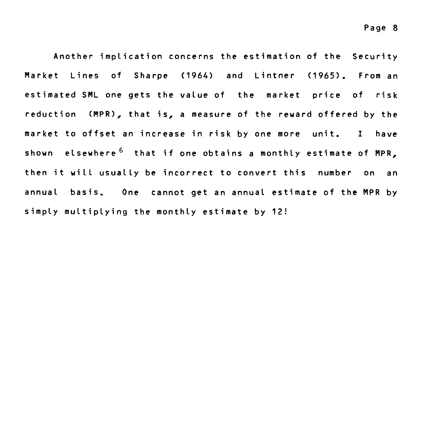**Another implication concerns the estimation of the Security Market Lines of Sharpe (1964) and Lintner (1965). From an estimated SML one gets the value of the market price of risk reduction (MPR), that is, a measure of the reward offered by the market to offset an increase in risk by one more unit. I have shown elsewhere 6 that if one obtains a monthly estimate of MPR, then it will usually be incorrect to convert this number on an annual basis. One cannot get an annual estimate of the MPR by simply multiplying the monthly estimate by 12!**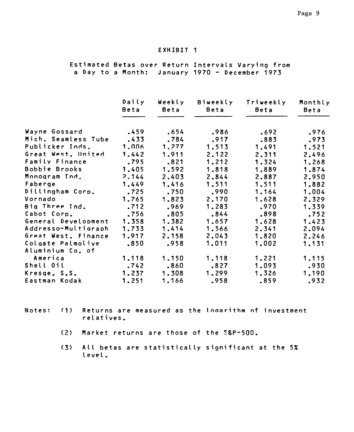#### **EXHIBIT 1**

**Estimated Betas over Return Intervals Varying from a Day to a Month: January 1970 - December 1973** 

|                     | Daily<br>Beta | Weekly<br>Beta | Biweekly<br>Beta | Triweekly<br>Beta | Monthly<br>Beta |
|---------------------|---------------|----------------|------------------|-------------------|-----------------|
|                     |               |                |                  |                   |                 |
| Wayne Gossard       | .459          | .654           | .986             | .692              | .976            |
| Mich. Seamless Tube | .433          | .784           | .917             | .883              | .973            |
| Publicker Inds.     | 1.006         | 1,277          | 1.513            | 1.491             | 1.521           |
| Great West. United  | 1.442         | 1.911          | 2.122            | 2.311             | 2.496           |
| Family Finance      | .795          | .821           | 1,212            | 1.324             | 1,268           |
| Bobbie Brooks       | 1.405         | 1.592          | 1,818            | 1.889             | 1.874           |
| Monogram Ind.       | 2.144         | 2.403          | 2.844            | 2.887             | 2.950           |
| Faberge             | 1.449         | 1.416          | 1.511            | 1.511             | 1.882           |
| Dillingham Corp.    | .725          | .750           | .990             | 1.164             | 1.004           |
| Vornado             | 1,765         | 1.823          | 2.170            | 1.628             | 2.329           |
| Big Three Ind.      | .712          | .969           | 1.283            | .970              | 1.339           |
| Cabot Corp.         | .756          | .805           | .844             | .898              | .752            |
| General Development | 1.358         | 1.382          | 1.657            | 1.628             | 1.423           |
| Addresso-Multigraph | 1.733         | 1.414          | 1.566            | 2.341             | 2.094           |
| Great West. Finance | 1.917         | 2.158          | 2.043            | 1.820             | 2.246           |
| Colgate Palmolive   | .850          | .958           | 1.011            | 1.002             | 1.131           |
| Aluminium Co. of    |               |                |                  |                   |                 |
| America             | 1.118         | 1.150          | 1.118            | 1.221             | 1.115           |
| Shell Oil           | .742          | .860           | .827             | 1.093             | .930            |
| Kresge, S.S.        | 1.237         | 1.308          | 1,299            | 1,326             | 1.190           |
| Eastman Kodak       | 1.251         | 1.166          | .958             | .859              | .932            |

**Notes:** (1) Returns are measured as the logarithm of investment **relatives.** 

- **(2) Market returns are those of the S&P-500.**
- **(3) All betas are statistically significant at the 5% Level.**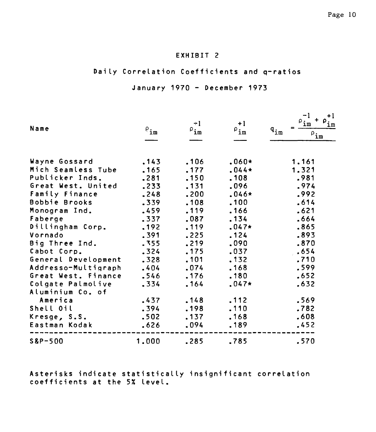## **EXHIBIT 2**

## **Daily Correlation Coefficients and q-ratios**

### **January 1970 - December 1973**

| Name                | $P_{\texttt{im}}$ | $+1$<br>${}^{\rho}$ im | $+1$<br>${}^{\rho}$ im | +1<br>$\mathfrak{p}_{\mathtt{im}}$<br>ım<br>$\mathbf{q}_{\texttt{im}}$<br>$\rho_{\underline{\mathbf{i}\underline{\mathbf{m}}}}$ |
|---------------------|-------------------|------------------------|------------------------|---------------------------------------------------------------------------------------------------------------------------------|
| Wayne Gossard       | .143              | .106                   | $.060*$                | 1,161                                                                                                                           |
| Mich Seamless Tube  | .165              | .177                   | $.044*$                | 1.321                                                                                                                           |
| Publicker Inds.     | .281              | .150                   | .108                   | .981                                                                                                                            |
| Great West. United  | .233              | .131                   | .096                   | .974                                                                                                                            |
| Family Finance      | .248              | .200                   | $.046*$                | .992                                                                                                                            |
| Bobbie Brooks       | .339              | .108                   | .100                   | .614                                                                                                                            |
| Monogram Ind.       | .459              | .119                   | .166                   | .621                                                                                                                            |
| Faberge             | .337              | .087                   | .134                   | .664                                                                                                                            |
| Dillingham Corp.    | .192              | .119                   | $.047*$                | .865                                                                                                                            |
| Vornado             | .391              | .225                   | .124                   | .893                                                                                                                            |
| Big Three Ind.      | .355              | .219                   | .090                   | .870                                                                                                                            |
| Cabot Corp.         | .324              | .175                   | .037                   | .654                                                                                                                            |
| General Development | .328              | .101                   | .132                   | .710                                                                                                                            |
| Addresso-Multigraph | .404              | .074                   | .168                   | .599                                                                                                                            |
| Great West. Finance | .546              | .176                   | .180                   | .652                                                                                                                            |
| Colgate Palmolive   | .334              | .164                   | $.047*$                | .632                                                                                                                            |
| Aluminium Co. of    |                   |                        |                        |                                                                                                                                 |
| America             | .437              | .148                   | .112                   | .569                                                                                                                            |
| Shell Oil           | .394              | .198                   | .110                   | .782                                                                                                                            |
| Kresge, S.S.        | .502              | .137                   | .168                   | .608                                                                                                                            |
| Eastman Kodak       | .626              | .094                   | .189                   | .452                                                                                                                            |
| $S&P-500$           | 1.000             | .285                   | .785                   | .570                                                                                                                            |

**Asterisks indicate statistically insignificant correlation coefficients at the 5% level.**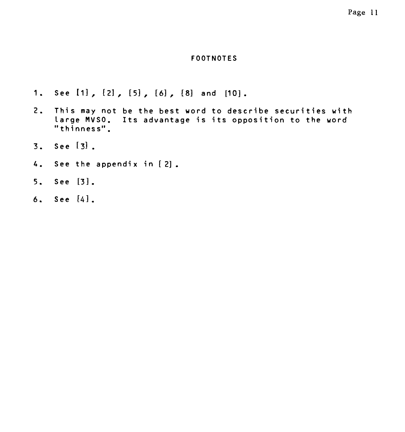## Page 11

#### **FOOT NOTES**

- **1. See [1] , [2] , [5] , [6] , [8] and [10].**
- **2. This may not be the best word to describe securities with large MVSO. Its advantage is its opposition to the word "thinness".**
- **3. See [3] .**
- **4. See the appendix in [2].**
- **5. See [3].**
- **6. See [4].**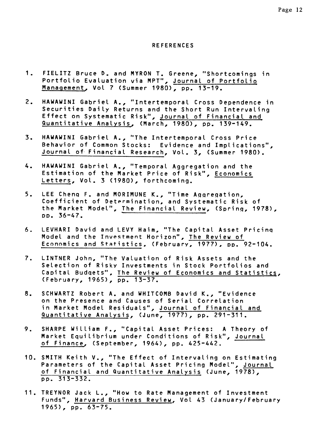#### **REFERENCES**

- **1. FIELITZ Bruce D. and MYRON T. Greene, "Shortcomings in Portfolio Evaluation via MPT", Journal of Portfolio Management, Vol 7 (Summer 1980), pp. 13-19.**
- **2. HAWAWINI Gabriel A., "Intertemporal Cross Dependence in Securities Daily Returns and the Short Run Intervaling Effect on Systematic Risk", Journal of Financial and Quantitative Analysis, (March, 1980), pp. 139-149.**
- **3. HAWAWINI Gabriel A., "The Intertemporal Cross Price Behavior of Common Stocks: Evidence and Implications", Journal of Financial Research, Vol. 3, (Summer 1980).**
- **4. HAWAWINI Gabriel A., "Temporal Aggregation and the Estimation of the Market Price of Risk", Economics Letters, Vol. 3 (1980), forthcoming.**
- **5. LEE Cheng F. and MORIMUNE K., "Time Aqqreqation, Coefficient of Determination, and Systematic Risk of the Market Model", The Financial Review, (Sprinq, 1978), Po. 36-47.**
- **6. LEVHARI David and LEVY Haim, "The Capital Asset Pricinq Model and the Investment Horizon", The Review of Economics and Statistics, (February, 1977), pp. 92-104.**
- **7. LINTNER John, "The Valuation of Risk Assets and the Selection of Risky Investments in Stock Portfolios and Capital Budgets", The Review of Economics and Statistics, (February, 1965), pp. 13-37.**
- **8. SCHWARTZ Robert A. and WHITCOMB David K., "Evidence on the Presence and Causes of Serial Correlation in Market Model Residuals", Journal of Financial and Quantitative Analysis, (June, 1977), pp. 291-311.**
- **9. SHARPE William F., "Capital Asset Prices: A Theory of Market Equilibrium under Conditions of Risk", Journal of Finance, (September, 1964), pp. 425-442.**
- **10. SMITH Keith V., "The Effect of Intervaling on Estimating Parameters of the Capital Asset Pricing Model", Journal of Financial and Quantitative Analysis (June, 1978), pp. 313-332.**
- **11. TREYNOR Jack L., "How to Rate Management of Investment Funds", Harvard Business Review, Vol 43 (January/February 1965), pp. 63-75.**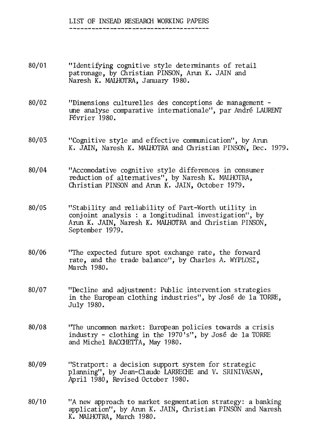## LIST OF INSEAD RESEARCH WORKING PAPERS

- 80/01 "Identifying cognitive style determinants of retail patronage, by Christian PINSON, Arun K. JAIN and Naresh K. MALHOTRA, January 1980.
- 80/02 "Dimensions culturelles des conceptions de management une analyse comparative internationale", par André LAURENT Février 1980.
- 80/03 "Cognitive style and effective communication", by Arun K. JAIN, Naresh K. MALHOTRA and Christian PINSON, Dec. 1979.
- 80/04 "Accomodative cognitive style differences in consumer reduction of alternatives", by Naresh K. MALHOTRA, Christian PINSON and Arun K. JAIN, October 1979.
- 80/05 "Stability and reliability of Part-Worth utility in conjoint analysis : a longitudinal investigation", by Arun K. JAIN, Naresh K. MALHOTRA and Christian PINSON, September 1979.
- 80/06 "The expected future spot exchange rate, the forward rate, and the trade balance", by Charles A. WYPLOSZ, March 1980.
- 80/07 "Decline and adjustment: Public intervention strategies in the European clothing industries", by José de la TORRE, July 1980.
- 80/08 "The uncommon market: European policies towards a crisis industry - clothing in the 1970's", by José de la TORRE and Michel BACCHETTA, May 1980.
- 80/09 "Stratport: a decision support system for strategic planning", by Jean-Claude LARRECHE and V. SRINIVASAN, April 1980, Revised October 1980.
- 80/10 "A new approach to market segmentation strategy: a banking application", by Arun K. JAIN, Christian PINSON and Naresh K. MALHOTRA, March 1980.